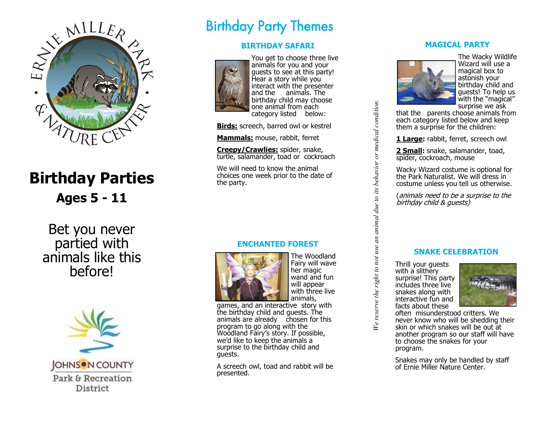

# **Birthday Parties Ages 5 - 11**

Bet you never partied with animals like this before!



# Birthday Party Themes

## **BIRTHDAY SAFARI**



You get to choose three live animals for you and your guests to see at this party! Hear a story while you interact with the presenter and the animals. The birthday child may choose one animal from each category listed below:

**Birds:** screech, barred owl or kestrel

**Mammals:** mouse, rabbit, ferret

**Creepy/Crawlies:** spider, snake, turtle, salamander, toad or cockroach

We will need to know the animal choices one week prior to the date of the party.

## **ENCHANTED FOREST**



The Woodland Fairy will wave her magic wand and fun will appear with three live animals,

games, and an interactive story with the birthday child and guests. The animals are already chosen for this program to go along with the Woodland Fairy 's story. If possible, we 'd like to keep the animals a surprise to the birthday child and guests.

A screech owl, toad and rabbit will be presented.

### **MAGICAL PARTY**



The Wacky Wildlife Wizard will use a magical box to astonish your birthday child and guests! To help us with the "magical" surprise we ask

that the parents choose animals from each category listed below and keep them a surprise for the children:

**1 Large:** rabbit, ferret, screech owl

**2 Small:** snake, salamander, toad, spider, cockroach, mouse

Wacky Wizard costume is optional for the Park Naturalist. We will dress in costume unless you tell us otherwise.

(animals need to be a surprise to the birthday child & guests)

### **SNAKE CELEBRATION**

Thrill your guests with a slithery surprise! This party includes three live snakes along with interactive fun and facts about these

*We reserve the right to not use an animal due to its behavior or medical condition.*

We reserve the right to not use an animal due to its behavior or medical condition.



often misunderstood critters. We never know who will be shedding their skin or which snakes will be out at another program so our staff will have to choose the snakes for your program.

Snakes may only be handled by staff of Ernie Miller Nature Center.